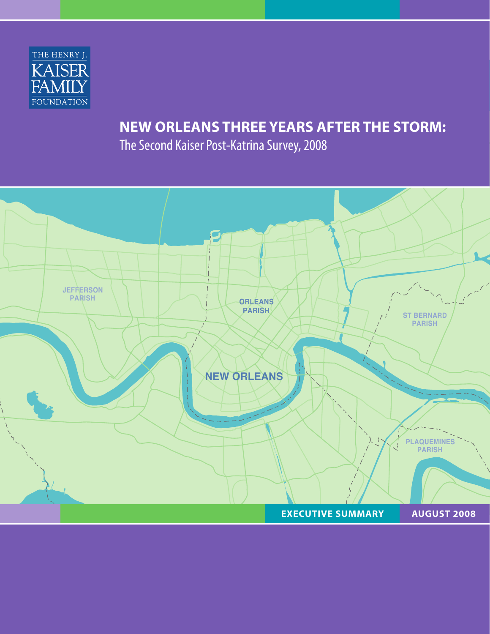

# **NEW ORLEANS THREE YEARS AFTER THE STORM:**

The Second Kaiser Post-Katrina Survey, 2008

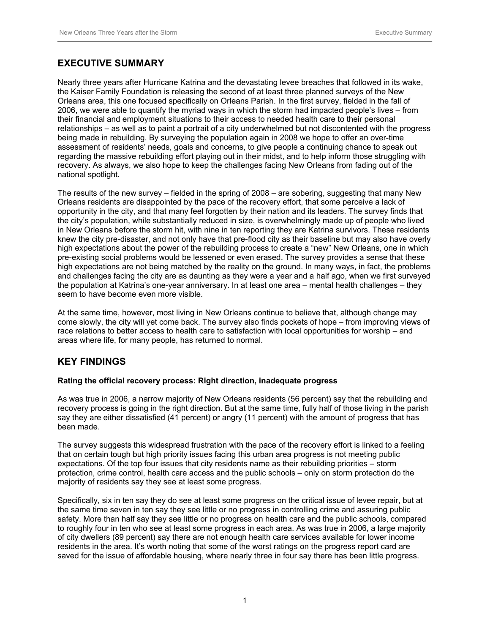# **EXECUTIVE SUMMARY**

Nearly three years after Hurricane Katrina and the devastating levee breaches that followed in its wake, the Kaiser Family Foundation is releasing the second of at least three planned surveys of the New Orleans area, this one focused specifically on Orleans Parish. In the first survey, fielded in the fall of 2006, we were able to quantify the myriad ways in which the storm had impacted people's lives – from their financial and employment situations to their access to needed health care to their personal relationships – as well as to paint a portrait of a city underwhelmed but not discontented with the progress being made in rebuilding. By surveying the population again in 2008 we hope to offer an over-time assessment of residents' needs, goals and concerns, to give people a continuing chance to speak out regarding the massive rebuilding effort playing out in their midst, and to help inform those struggling with recovery. As always, we also hope to keep the challenges facing New Orleans from fading out of the national spotlight.

The results of the new survey – fielded in the spring of 2008 – are sobering, suggesting that many New Orleans residents are disappointed by the pace of the recovery effort, that some perceive a lack of opportunity in the city, and that many feel forgotten by their nation and its leaders. The survey finds that the city's population, while substantially reduced in size, is overwhelmingly made up of people who lived in New Orleans before the storm hit, with nine in ten reporting they are Katrina survivors. These residents knew the city pre-disaster, and not only have that pre-flood city as their baseline but may also have overly high expectations about the power of the rebuilding process to create a "new" New Orleans, one in which pre-existing social problems would be lessened or even erased. The survey provides a sense that these high expectations are not being matched by the reality on the ground. In many ways, in fact, the problems and challenges facing the city are as daunting as they were a year and a half ago, when we first surveyed the population at Katrina's one-year anniversary. In at least one area – mental health challenges – they seem to have become even more visible.

At the same time, however, most living in New Orleans continue to believe that, although change may come slowly, the city will yet come back. The survey also finds pockets of hope – from improving views of race relations to better access to health care to satisfaction with local opportunities for worship – and areas where life, for many people, has returned to normal.

# **KEY FINDINGS**

## **Rating the official recovery process: Right direction, inadequate progress**

As was true in 2006, a narrow majority of New Orleans residents (56 percent) say that the rebuilding and recovery process is going in the right direction. But at the same time, fully half of those living in the parish say they are either dissatisfied (41 percent) or angry (11 percent) with the amount of progress that has been made.

The survey suggests this widespread frustration with the pace of the recovery effort is linked to a feeling that on certain tough but high priority issues facing this urban area progress is not meeting public expectations. Of the top four issues that city residents name as their rebuilding priorities – storm protection, crime control, health care access and the public schools – only on storm protection do the majority of residents say they see at least some progress.

Specifically, six in ten say they do see at least some progress on the critical issue of levee repair, but at the same time seven in ten say they see little or no progress in controlling crime and assuring public safety. More than half say they see little or no progress on health care and the public schools, compared to roughly four in ten who see at least some progress in each area. As was true in 2006, a large majority of city dwellers (89 percent) say there are not enough health care services available for lower income residents in the area. It's worth noting that some of the worst ratings on the progress report card are saved for the issue of affordable housing, where nearly three in four say there has been little progress.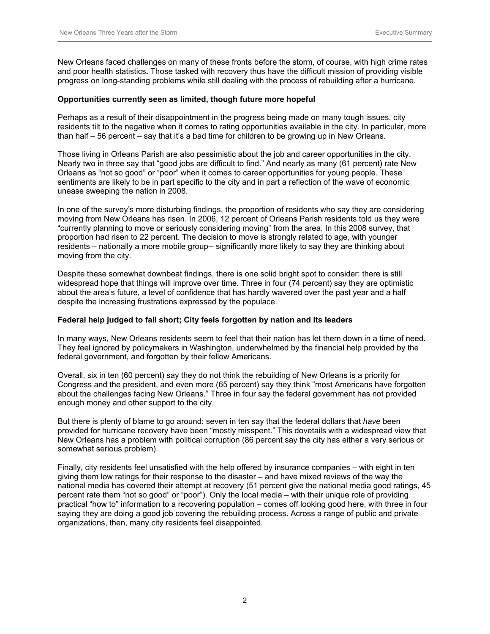New Orleans faced challenges on many of these fronts before the storm, of course, with high crime rates and poor health statistics**.** Those tasked with recovery thus have the difficult mission of providing visible progress on long-standing problems while still dealing with the process of rebuilding after a hurricane.

### **Opportunities currently seen as limited, though future more hopeful**

Perhaps as a result of their disappointment in the progress being made on many tough issues, city residents tilt to the negative when it comes to rating opportunities available in the city. In particular, more than half – 56 percent – say that it's a bad time for children to be growing up in New Orleans.

Those living in Orleans Parish are also pessimistic about the job and career opportunities in the city. Nearly two in three say that "good jobs are difficult to find." And nearly as many (61 percent) rate New Orleans as "not so good" or "poor" when it comes to career opportunities for young people. These sentiments are likely to be in part specific to the city and in part a reflection of the wave of economic unease sweeping the nation in 2008.

In one of the survey's more disturbing findings, the proportion of residents who say they are considering moving from New Orleans has risen. In 2006, 12 percent of Orleans Parish residents told us they were "currently planning to move or seriously considering moving" from the area. In this 2008 survey, that proportion had risen to 22 percent. The decision to move is strongly related to age, with younger residents – nationally a more mobile group-- significantly more likely to say they are thinking about moving from the city.

Despite these somewhat downbeat findings, there is one solid bright spot to consider: there is still widespread hope that things will improve over time. Three in four (74 percent) say they are optimistic about the area's future, a level of confidence that has hardly wavered over the past year and a half despite the increasing frustrations expressed by the populace.

#### **Federal help judged to fall short; City feels forgotten by nation and its leaders**

In many ways, New Orleans residents seem to feel that their nation has let them down in a time of need. They feel ignored by policymakers in Washington, underwhelmed by the financial help provided by the federal government, and forgotten by their fellow Americans.

Overall, six in ten (60 percent) say they do not think the rebuilding of New Orleans is a priority for Congress and the president, and even more (65 percent) say they think "most Americans have forgotten about the challenges facing New Orleans." Three in four say the federal government has not provided enough money and other support to the city.

But there is plenty of blame to go around: seven in ten say that the federal dollars that *have* been provided for hurricane recovery have been "mostly misspent." This dovetails with a widespread view that New Orleans has a problem with political corruption (86 percent say the city has either a very serious or somewhat serious problem).

Finally, city residents feel unsatisfied with the help offered by insurance companies – with eight in ten giving them low ratings for their response to the disaster – and have mixed reviews of the way the national media has covered their attempt at recovery (51 percent give the national media good ratings, 45 percent rate them "not so good" or "poor"). Only the local media – with their unique role of providing practical "how to" information to a recovering population – comes off looking good here, with three in four saying they are doing a good job covering the rebuilding process. Across a range of public and private organizations, then, many city residents feel disappointed.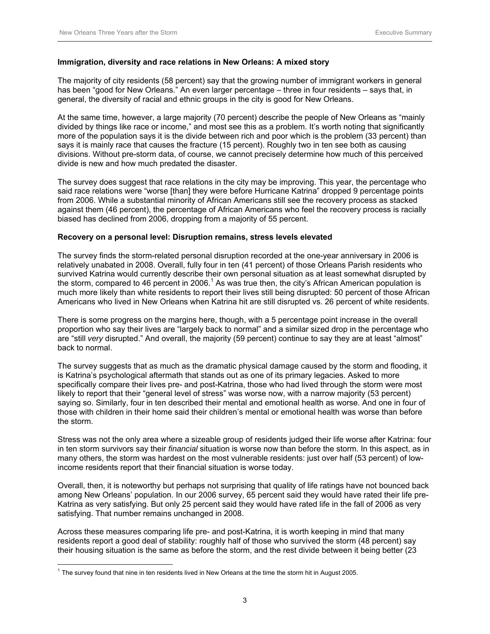# **Immigration, diversity and race relations in New Orleans: A mixed story**

The majority of city residents (58 percent) say that the growing number of immigrant workers in general has been "good for New Orleans." An even larger percentage – three in four residents – says that, in general, the diversity of racial and ethnic groups in the city is good for New Orleans.

At the same time, however, a large majority (70 percent) describe the people of New Orleans as "mainly divided by things like race or income," and most see this as a problem. It's worth noting that significantly more of the population says it is the divide between rich and poor which is the problem (33 percent) than says it is mainly race that causes the fracture (15 percent). Roughly two in ten see both as causing divisions. Without pre-storm data, of course, we cannot precisely determine how much of this perceived divide is new and how much predated the disaster.

The survey does suggest that race relations in the city may be improving. This year, the percentage who said race relations were "worse [than] they were before Hurricane Katrina" dropped 9 percentage points from 2006. While a substantial minority of African Americans still see the recovery process as stacked against them (46 percent), the percentage of African Americans who feel the recovery process is racially biased has declined from 2006, dropping from a majority of 55 percent.

# **Recovery on a personal level: Disruption remains, stress levels elevated**

The survey finds the storm-related personal disruption recorded at the one-year anniversary in 2006 is relatively unabated in 2008. Overall, fully four in ten (41 percent) of those Orleans Parish residents who survived Katrina would currently describe their own personal situation as at least somewhat disrupted by the storm, compared to 46 percent in 2006.<sup>1</sup> As was true then, the city's African American population is much more likely than white residents to report their lives still being disrupted: 50 percent of those African Americans who lived in New Orleans when Katrina hit are still disrupted vs. 26 percent of white residents.

There is some progress on the margins here, though, with a 5 percentage point increase in the overall proportion who say their lives are "largely back to normal" and a similar sized drop in the percentage who are "still *very* disrupted." And overall, the majority (59 percent) continue to say they are at least "almost" back to normal.

The survey suggests that as much as the dramatic physical damage caused by the storm and flooding, it is Katrina's psychological aftermath that stands out as one of its primary legacies. Asked to more specifically compare their lives pre- and post-Katrina, those who had lived through the storm were most likely to report that their "general level of stress" was worse now, with a narrow majority (53 percent) saying so. Similarly, four in ten described their mental and emotional health as worse. And one in four of those with children in their home said their children's mental or emotional health was worse than before the storm.

Stress was not the only area where a sizeable group of residents judged their life worse after Katrina: four in ten storm survivors say their *financial* situation is worse now than before the storm. In this aspect, as in many others, the storm was hardest on the most vulnerable residents: just over half (53 percent) of lowincome residents report that their financial situation is worse today.

Overall, then, it is noteworthy but perhaps not surprising that quality of life ratings have not bounced back among New Orleans' population. In our 2006 survey, 65 percent said they would have rated their life pre-Katrina as very satisfying. But only 25 percent said they would have rated life in the fall of 2006 as very satisfying. That number remains unchanged in 2008.

Across these measures comparing life pre- and post-Katrina, it is worth keeping in mind that many residents report a good deal of stability: roughly half of those who survived the storm (48 percent) say their housing situation is the same as before the storm, and the rest divide between it being better (23

 $\overline{a}$ 

 $<sup>1</sup>$  The survey found that nine in ten residents lived in New Orleans at the time the storm hit in August 2005.</sup>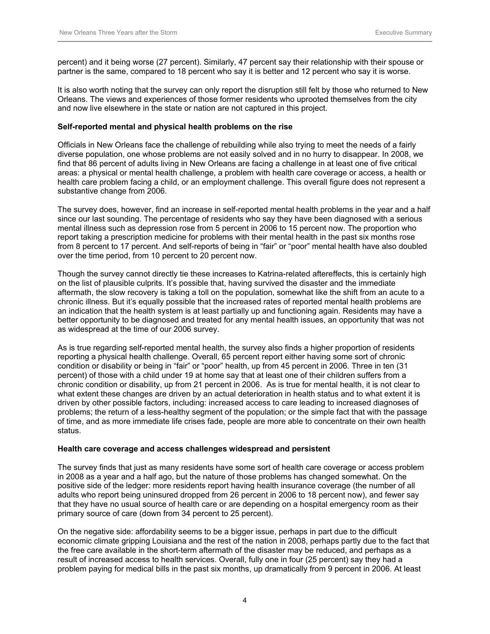percent) and it being worse (27 percent). Similarly, 47 percent say their relationship with their spouse or partner is the same, compared to 18 percent who say it is better and 12 percent who say it is worse.

It is also worth noting that the survey can only report the disruption still felt by those who returned to New Orleans. The views and experiences of those former residents who uprooted themselves from the city and now live elsewhere in the state or nation are not captured in this project.

#### **Self-reported mental and physical health problems on the rise**

Officials in New Orleans face the challenge of rebuilding while also trying to meet the needs of a fairly diverse population, one whose problems are not easily solved and in no hurry to disappear. In 2008, we find that 86 percent of adults living in New Orleans are facing a challenge in at least one of five critical areas: a physical or mental health challenge, a problem with health care coverage or access, a health or health care problem facing a child, or an employment challenge. This overall figure does not represent a substantive change from 2006.

The survey does, however, find an increase in self-reported mental health problems in the year and a half since our last sounding. The percentage of residents who say they have been diagnosed with a serious mental illness such as depression rose from 5 percent in 2006 to 15 percent now. The proportion who report taking a prescription medicine for problems with their mental health in the past six months rose from 8 percent to 17 percent. And self-reports of being in "fair" or "poor" mental health have also doubled over the time period, from 10 percent to 20 percent now.

Though the survey cannot directly tie these increases to Katrina-related aftereffects, this is certainly high on the list of plausible culprits. It's possible that, having survived the disaster and the immediate aftermath, the slow recovery is taking a toll on the population, somewhat like the shift from an acute to a chronic illness. But it's equally possible that the increased rates of reported mental health problems are an indication that the health system is at least partially up and functioning again. Residents may have a better opportunity to be diagnosed and treated for any mental health issues, an opportunity that was not as widespread at the time of our 2006 survey.

As is true regarding self-reported mental health, the survey also finds a higher proportion of residents reporting a physical health challenge. Overall, 65 percent report either having some sort of chronic condition or disability or being in "fair" or "poor" health, up from 45 percent in 2006. Three in ten (31 percent) of those with a child under 19 at home say that at least one of their children suffers from a chronic condition or disability, up from 21 percent in 2006. As is true for mental health, it is not clear to what extent these changes are driven by an actual deterioration in health status and to what extent it is driven by other possible factors, including: increased access to care leading to increased diagnoses of problems; the return of a less-healthy segment of the population; or the simple fact that with the passage of time, and as more immediate life crises fade, people are more able to concentrate on their own health status.

## **Health care coverage and access challenges widespread and persistent**

The survey finds that just as many residents have some sort of health care coverage or access problem in 2008 as a year and a half ago, but the nature of those problems has changed somewhat. On the positive side of the ledger: more residents report having health insurance coverage (the number of all adults who report being uninsured dropped from 26 percent in 2006 to 18 percent now), and fewer say that they have no usual source of health care or are depending on a hospital emergency room as their primary source of care (down from 34 percent to 25 percent).

On the negative side: affordability seems to be a bigger issue, perhaps in part due to the difficult economic climate gripping Louisiana and the rest of the nation in 2008, perhaps partly due to the fact that the free care available in the short-term aftermath of the disaster may be reduced, and perhaps as a result of increased access to health services. Overall, fully one in four (25 percent) say they had a problem paying for medical bills in the past six months, up dramatically from 9 percent in 2006. At least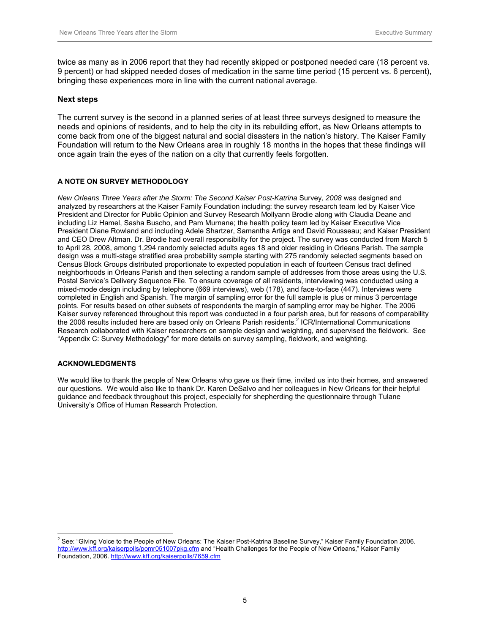twice as many as in 2006 report that they had recently skipped or postponed needed care (18 percent vs. 9 percent) or had skipped needed doses of medication in the same time period (15 percent vs. 6 percent), bringing these experiences more in line with the current national average.

### **Next steps**

The current survey is the second in a planned series of at least three surveys designed to measure the needs and opinions of residents, and to help the city in its rebuilding effort, as New Orleans attempts to come back from one of the biggest natural and social disasters in the nation's history. The Kaiser Family Foundation will return to the New Orleans area in roughly 18 months in the hopes that these findings will once again train the eyes of the nation on a city that currently feels forgotten.

#### **A NOTE ON SURVEY METHODOLOGY**

*New Orleans Three Years after the Storm: The Second Kaiser Post-Katrina* Survey*, 2008* was designed and analyzed by researchers at the Kaiser Family Foundation including: the survey research team led by Kaiser Vice President and Director for Public Opinion and Survey Research Mollyann Brodie along with Claudia Deane and including Liz Hamel, Sasha Buscho, and Pam Murnane; the health policy team led by Kaiser Executive Vice President Diane Rowland and including Adele Shartzer, Samantha Artiga and David Rousseau; and Kaiser President and CEO Drew Altman. Dr. Brodie had overall responsibility for the project. The survey was conducted from March 5 to April 28, 2008, among 1,294 randomly selected adults ages 18 and older residing in Orleans Parish. The sample design was a multi-stage stratified area probability sample starting with 275 randomly selected segments based on Census Block Groups distributed proportionate to expected population in each of fourteen Census tract defined neighborhoods in Orleans Parish and then selecting a random sample of addresses from those areas using the U.S. Postal Service's Delivery Sequence File. To ensure coverage of all residents, interviewing was conducted using a mixed-mode design including by telephone (669 interviews), web (178), and face-to-face (447). Interviews were completed in English and Spanish. The margin of sampling error for the full sample is plus or minus 3 percentage points. For results based on other subsets of respondents the margin of sampling error may be higher. The 2006 Kaiser survey referenced throughout this report was conducted in a four parish area, but for reasons of comparability the 2006 results included here are based only on Orleans Parish residents.<sup>2</sup> ICR/International Communications Research collaborated with Kaiser researchers on sample design and weighting, and supervised the fieldwork. See "Appendix C: Survey Methodology" for more details on survey sampling, fieldwork, and weighting.

#### **ACKNOWLEDGMENTS**

We would like to thank the people of New Orleans who gave us their time, invited us into their homes, and answered our questions. We would also like to thank Dr. Karen DeSalvo and her colleagues in New Orleans for their helpful guidance and feedback throughout this project, especially for shepherding the questionnaire through Tulane University's Office of Human Research Protection.

 2 See: "Giving Voice to the People of New Orleans: The Kaiser Post-Katrina Baseline Survey," Kaiser Family Foundation 2006. http://www.kff.org/kaiserpolls/pomr051007pkg.cfm and "Health Challenges for the People of New Orleans," Kaiser Family Foundation, 2006. http://www.kff.org/kaiserpolls/7659.cfm